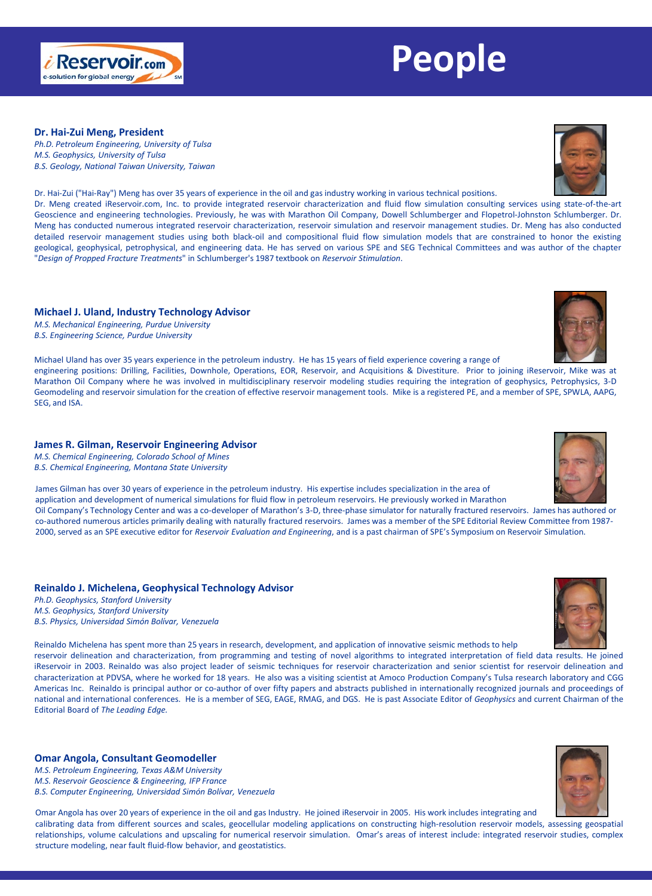# **Dr. Hai-Zui Meng, President**

*Ph.D. Petroleum Engineering, University of Tulsa M.S. Geophysics, University of Tulsa B.S. Geology, National Taiwan University, Taiwan*

Dr. Hai-Zui ("Hai-Ray") Meng has over 35 years of experience in the oil and gas industry working in various technical positions.

Dr. Meng created iReservoir.com, Inc. to provide integrated reservoir characterization and fluid flow simulation consulting services using state-of-the-art Geoscience and engineering technologies. Previously, he was with Marathon Oil Company, Dowell Schlumberger and Flopetrol-Johnston Schlumberger. Dr. Meng has conducted numerous integrated reservoir characterization, reservoir simulation and reservoir management studies. Dr. Meng has also conducted detailed reservoir management studies using both black-oil and compositional fluid flow simulation models that are constrained to honor the existing geological, geophysical, petrophysical, and engineering data. He has served on various SPE and SEG Technical Committees and was author of the chapter "*Design of Propped Fracture Treatments*" in Schlumberger's 1987 textbook on *Reservoir Stimulation*.

# **Michael J. Uland, Industry Technology Advisor**

*M.S. Mechanical Engineering, Purdue University B.S. Engineering Science, Purdue University*

Michael Uland has over 35 years experience in the petroleum industry. He has 15 years of field experience covering a range of engineering positions: Drilling, Facilities, Downhole, Operations, EOR, Reservoir, and Acquisitions & Divestiture. Prior to joining iReservoir, Mike was at Marathon Oil Company where he was involved in multidisciplinary reservoir modeling studies requiring the integration of geophysics, Petrophysics, 3-D Geomodeling and reservoir simulation for the creation of effective reservoir management tools. Mike is a registered PE, and a member of SPE, SPWLA, AAPG, SEG, and ISA.

# **James R. Gilman, Reservoir Engineering Advisor**

*M.S. Chemical Engineering, Colorado School of Mines B.S. Chemical Engineering, Montana State University*

James Gilman has over 30 years of experience in the petroleum industry. His expertise includes specialization in the area of application and development of numerical simulations for fluid flow in petroleum reservoirs. He previously worked in Marathon Oil Company's Technology Center and was a co-developer of Marathon's 3-D, three-phase simulator for naturally fractured reservoirs. James has authored or

co-authored numerous articles primarily dealing with naturally fractured reservoirs. James was a member of the SPE Editorial Review Committee from 1987- 2000, served as an SPE executive editor for *Reservoir Evaluation and Engineering*, and is a past chairman of SPE's Symposium on Reservoir Simulation.

## **Reinaldo J. Michelena, Geophysical Technology Advisor**

*Ph.D. Geophysics, Stanford University M.S. Geophysics, Stanford University B.S. Physics, Universidad Simón Bolívar, Venezuela*

Reinaldo Michelena has spent more than 25 years in research, development, and application of innovative seismic methods to help

reservoir delineation and characterization, from programming and testing of novel algorithms to integrated interpretation of field data results. He joined iReservoir in 2003. Reinaldo was also project leader of seismic techniques for reservoir characterization and senior scientist for reservoir delineation and characterization at PDVSA, where he worked for 18 years. He also was a visiting scientist at Amoco Production Company's Tulsa research laboratory and CGG Americas Inc. Reinaldo is principal author or co-author of over fifty papers and abstracts published in internationally recognized journals and proceedings of national and international conferences. He is a member of SEG, EAGE, RMAG, and DGS. He is past Associate Editor of *Geophysics* and current Chairman of the Editorial Board of *The Leading Edge.*

# **Omar Angola, Consultant Geomodeller**

*M.S. Petroleum Engineering, Texas A&M University M.S. Reservoir Geoscience & Engineering, IFP France B.S. Computer Engineering, Universidad Simón Bolívar, Venezuela*

Omar Angola has over 20 years of experience in the oil and gas Industry. He joined iReservoir in 2005. His work includes integrating and calibrating data from different sources and scales, geocellular modeling applications on constructing high-resolution reservoir models, assessing geospatial relationships, volume calculations and upscaling for numerical reservoir simulation. Omar's areas of interest include: integrated reservoir studies, complex structure modeling, near fault fluid-flow behavior, and geostatistics.













# **People**